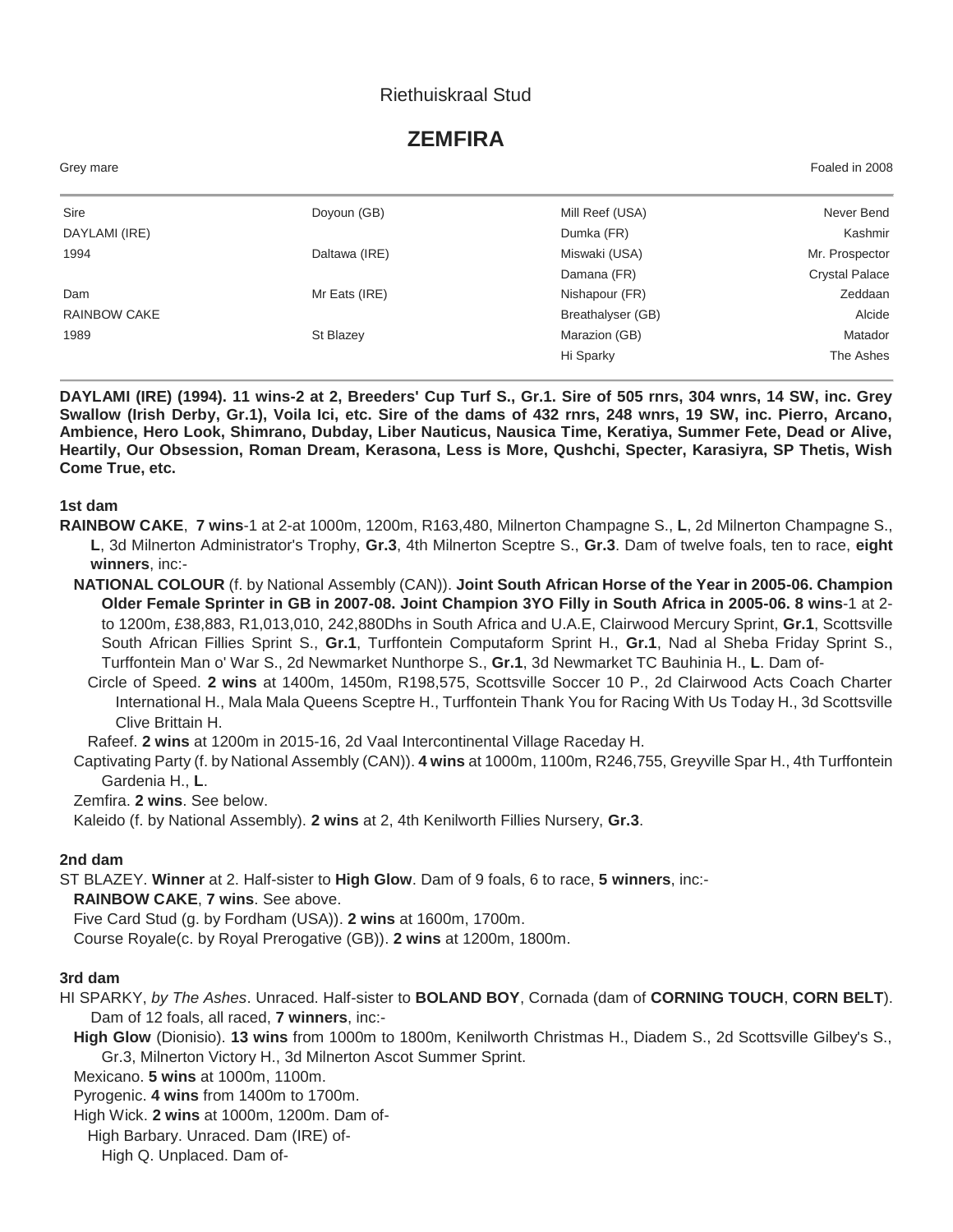# Riethuiskraal Stud

# **ZEMFIRA**

| Grey mare           |               |                   | Foaled in 2008        |
|---------------------|---------------|-------------------|-----------------------|
| Sire                | Doyoun (GB)   | Mill Reef (USA)   | Never Bend            |
| DAYLAMI (IRE)       |               | Dumka (FR)        | Kashmir               |
| 1994                | Daltawa (IRE) | Miswaki (USA)     | Mr. Prospector        |
|                     |               | Damana (FR)       | <b>Crystal Palace</b> |
| Dam                 | Mr Eats (IRE) | Nishapour (FR)    | Zeddaan               |
| <b>RAINBOW CAKE</b> |               | Breathalyser (GB) | Alcide                |
| 1989                | St Blazey     | Marazion (GB)     | Matador               |
|                     |               | Hi Sparky         | The Ashes             |

**DAYLAMI (IRE) (1994). 11 wins-2 at 2, Breeders' Cup Turf S., Gr.1. Sire of 505 rnrs, 304 wnrs, 14 SW, inc. Grey Swallow (Irish Derby, Gr.1), Voila Ici, etc. Sire of the dams of 432 rnrs, 248 wnrs, 19 SW, inc. Pierro, Arcano, Ambience, Hero Look, Shimrano, Dubday, Liber Nauticus, Nausica Time, Keratiya, Summer Fete, Dead or Alive, Heartily, Our Obsession, Roman Dream, Kerasona, Less is More, Qushchi, Specter, Karasiyra, SP Thetis, Wish Come True, etc.**

#### **1st dam**

- **RAINBOW CAKE**, **7 wins**-1 at 2-at 1000m, 1200m, R163,480, Milnerton Champagne S., **L**, 2d Milnerton Champagne S., **L**, 3d Milnerton Administrator's Trophy, **Gr.3**, 4th Milnerton Sceptre S., **Gr.3**. Dam of twelve foals, ten to race, **eight winners**, inc:-
	- **NATIONAL COLOUR** (f. by National Assembly (CAN)). **Joint South African Horse of the Year in 2005-06. Champion Older Female Sprinter in GB in 2007-08. Joint Champion 3YO Filly in South Africa in 2005-06. 8 wins**-1 at 2 to 1200m, £38,883, R1,013,010, 242,880Dhs in South Africa and U.A.E, Clairwood Mercury Sprint, **Gr.1**, Scottsville South African Fillies Sprint S., **Gr.1**, Turffontein Computaform Sprint H., **Gr.1**, Nad al Sheba Friday Sprint S., Turffontein Man o' War S., 2d Newmarket Nunthorpe S., **Gr.1**, 3d Newmarket TC Bauhinia H., **L**. Dam of-
		- Circle of Speed. **2 wins** at 1400m, 1450m, R198,575, Scottsville Soccer 10 P., 2d Clairwood Acts Coach Charter International H., Mala Mala Queens Sceptre H., Turffontein Thank You for Racing With Us Today H., 3d Scottsville Clive Brittain H.

Rafeef. **2 wins** at 1200m in 2015-16, 2d Vaal Intercontinental Village Raceday H.

Captivating Party (f. by National Assembly (CAN)). **4 wins** at 1000m, 1100m, R246,755, Greyville Spar H., 4th Turffontein Gardenia H., **L**.

Zemfira. **2 wins**. See below.

Kaleido (f. by National Assembly). **2 wins** at 2, 4th Kenilworth Fillies Nursery, **Gr.3**.

### **2nd dam**

ST BLAZEY. **Winner** at 2. Half-sister to **High Glow**. Dam of 9 foals, 6 to race, **5 winners**, inc:-

**RAINBOW CAKE**, **7 wins**. See above.

Five Card Stud (g. by Fordham (USA)). **2 wins** at 1600m, 1700m.

Course Royale(c. by Royal Prerogative (GB)). **2 wins** at 1200m, 1800m.

## **3rd dam**

HI SPARKY, *by The Ashes*. Unraced. Half-sister to **BOLAND BOY**, Cornada (dam of **CORNING TOUCH**, **CORN BELT**). Dam of 12 foals, all raced, **7 winners**, inc:-

**High Glow** (Dionisio). **13 wins** from 1000m to 1800m, Kenilworth Christmas H., Diadem S., 2d Scottsville Gilbey's S., Gr.3, Milnerton Victory H., 3d Milnerton Ascot Summer Sprint.

Mexicano. **5 wins** at 1000m, 1100m.

Pyrogenic. **4 wins** from 1400m to 1700m.

High Wick. **2 wins** at 1000m, 1200m. Dam of-

High Barbary. Unraced. Dam (IRE) of-

High Q. Unplaced. Dam of-